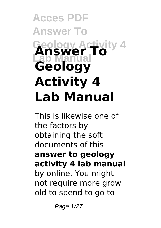# **Acces PDF Answer To Geology Activity 4 Lab Manual Answer To Geology Activity 4 Lab Manual**

This is likewise one of the factors by obtaining the soft documents of this **answer to geology activity 4 lab manual** by online. You might not require more grow old to spend to go to

Page 1/27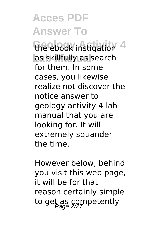the ebook instigation 4 as skillfully as search for them. In some cases, you likewise realize not discover the notice answer to geology activity 4 lab manual that you are looking for. It will extremely squander the time.

However below, behind you visit this web page, it will be for that reason certainly simple to get as competently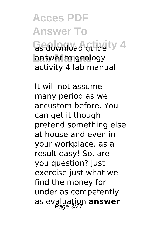**Geology Activity 4** as download guide answer to geology activity 4 lab manual

It will not assume many period as we accustom before. You can get it though pretend something else at house and even in your workplace. as a result easy! So, are you question? Just exercise just what we find the money for under as competently as evaluation **answer**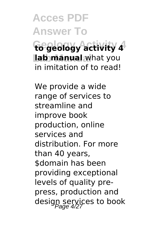**Acces PDF Answer To Geology Activity 4 to geology activity 4 Lab Manual lab manual** what you in imitation of to read!

We provide a wide range of services to streamline and improve book production, online services and distribution. For more than 40 years, \$domain has been providing exceptional levels of quality prepress, production and design services to book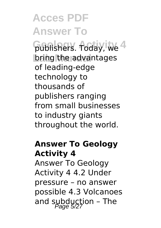**Gublishers.** Today, We 4 bring the advantages of leading-edge technology to thousands of publishers ranging from small businesses to industry giants throughout the world.

#### **Answer To Geology Activity 4**

Answer To Geology Activity 4 4.2 Under pressure – no answer possible 4.3 Volcanoes and subduction - The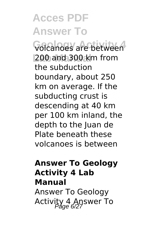**Geology Activity 4** volcanoes are between **Lab Manual** 200 and 300 km from the subduction boundary, about 250 km on average. If the subducting crust is descending at 40 km per 100 km inland, the depth to the Juan de Plate beneath these volcanoes is between

#### **Answer To Geology Activity 4 Lab Manual**

Answer To Geology Activity 4 Answer To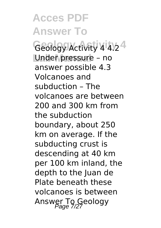**Acces PDF Answer To Geology Activity 4** Geology Activity 4 4.2 Under pressure - no answer possible 4.3 Volcanoes and subduction – The volcanoes are between 200 and 300 km from the subduction boundary, about 250 km on average. If the subducting crust is descending at 40 km per 100 km inland, the depth to the Juan de Plate beneath these volcanoes is between Answer To Geology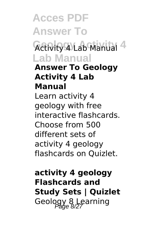**Acces PDF Answer To Activity 4 Lab Manual 4 Lab Manual Answer To Geology Activity 4 Lab Manual** Learn activity 4 geology with free interactive flashcards. Choose from 500 different sets of activity 4 geology flashcards on Quizlet.

**activity 4 geology Flashcards and Study Sets | Quizlet** Geology 8 Learning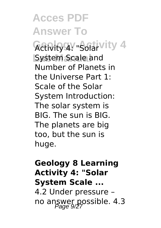**Activity 4: "Solar Vity 4 System Scale and** Number of Planets in the Universe Part 1: Scale of the Solar System Introduction: The solar system is BIG. The sun is BIG. The planets are big too, but the sun is huge.

#### **Geology 8 Learning Activity 4: "Solar System Scale ...** 4.2 Under pressure – no answer possible. 4.3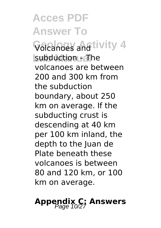**Volcanoes and tivity 4 Lab Manual** subduction – The volcanoes are between 200 and 300 km from the subduction boundary, about 250 km on average. If the subducting crust is descending at 40 km per 100 km inland, the depth to the Juan de Plate beneath these volcanoes is between 80 and 120 km, or 100 km on average.

#### **Appendix C: Answers**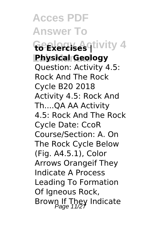**Acces PDF Answer To**  $G$ **Exercises** qtivity 4 **Physical Geology** Question: Activity 4.5: Rock And The Rock Cycle B20 2018 Activity 4.5: Rock And Th....QA AA Activity 4.5: Rock And The Rock Cycle Date: CcoR Course/Section: A. On The Rock Cycle Below (Fig. A4.5.1), Color Arrows Orangeif They Indicate A Process Leading To Formation Of Igneous Rock, Brown If They Indicate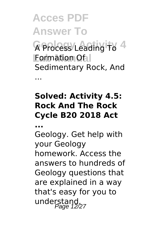**Acces PDF Answer To G** Process Leading To 4 **Formation Of I** Sedimentary Rock, And

#### **Solved: Activity 4.5: Rock And The Rock Cycle B20 2018 Act**

**...**

...

Geology. Get help with your Geology homework. Access the answers to hundreds of Geology questions that are explained in a way that's easy for you to understand,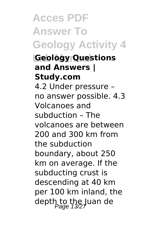**Acces PDF Answer To Geology Activity 4 Lab Manual Geology Questions and Answers | Study.com** 4.2 Under pressure – no answer possible. 4.3 Volcanoes and subduction – The volcanoes are between 200 and 300 km from the subduction boundary, about 250 km on average. If the subducting crust is descending at 40 km per 100 km inland, the depth to the Juan de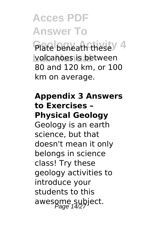**Plate beneath these** 4 **volcanoes is between** 80 and 120 km, or 100 km on average.

#### **Appendix 3 Answers to Exercises – Physical Geology**

Geology is an earth science, but that doesn't mean it only belongs in science class! Try these geology activities to introduce your students to this awesome subject.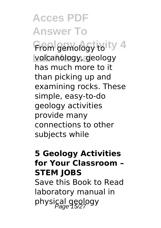From gemology to<sup>ity 4</sup> volcanology, geology has much more to it than picking up and examining rocks. These simple, easy-to-do geology activities provide many connections to other subjects while

#### **5 Geology Activities for Your Classroom – STEM JOBS**

Save this Book to Read laboratory manual in physical geology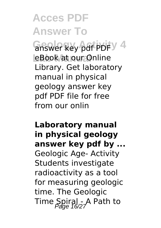**Gnswer key pdf PDF**  $\sqrt{4}$ eBook at our Online Library. Get laboratory manual in physical geology answer key pdf PDF file for free from our onlin

#### **Laboratory manual in physical geology answer key pdf by ...** Geologic Age- Activity Students investigate radioactivity as a tool for measuring geologic time. The Geologic Time Spiral - A Path to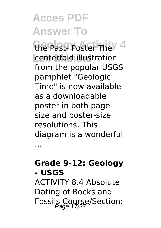**Gre Past- Poster They 4** centerfold illustration from the popular USGS pamphlet "Geologic Time" is now available as a downloadable poster in both pagesize and poster-size resolutions. This diagram is a wonderful

**Grade 9-12: Geology - USGS**

...

ACTIVITY 8.4 Absolute Dating of Rocks and Fossils Course/Section: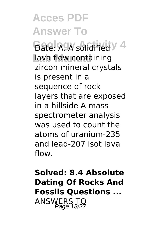**Acces PDF Answer To Gate: A. A solidified V** 4 lava flow containing zircon mineral crystals is present in a sequence of rock layers that are exposed in a hillside A mass spectrometer analysis was used to count the atoms of uranium-235 and lead-207 isot lava flow.

**Solved: 8.4 Absolute Dating Of Rocks And Fossils Questions ...** ANSWERS TO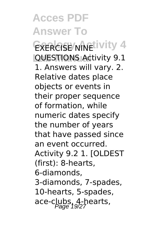**EXERCISE NINELIVITY 4 QUESTIONS Activity 9.1** 1. Answers will vary. 2. Relative dates place objects or events in their proper sequence of formation, while numeric dates specify the number of years that have passed since an event occurred. Activity 9.2 1. [OLDEST (first): 8-hearts, 6-diamonds, 3-diamonds, 7-spades, 10-hearts, 5-spades, ace-clubs, 4-hearts,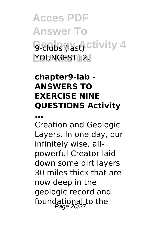**Acces PDF Answer To Genbs (last)** ctivity 4 **Lab Manual** YOUNGEST] 2.

#### **chapter9-lab - ANSWERS TO EXERCISE NINE QUESTIONS Activity**

**...**

Creation and Geologic Layers. In one day, our infinitely wise, allpowerful Creator laid down some dirt layers 30 miles thick that are now deep in the geologic record and foundational to the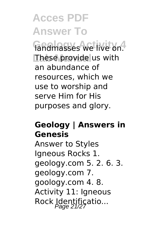**Gandmasses** we live on. These provide us with an abundance of resources, which we use to worship and serve Him for His purposes and glory.

#### **Geology | Answers in Genesis**

Answer to Styles Igneous Rocks 1. geology.com 5. 2. 6. 3. geology.com 7. goology.com 4. 8. Activity 11: Igneous Rock Identificatio...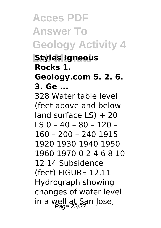**Acces PDF Answer To Geology Activity 4 Styles Igneous Rocks 1. Geology.com 5. 2. 6. 3. Ge ...** 328 Water table level (feet above and below land surface  $LS$ ) + 20 LS 0 – 40 – 80 – 120 – 160 – 200 – 240 1915 1920 1930 1940 1950 1960 1970 0 2 4 6 8 10 12 14 Subsidence (feet) FIGURE 12.11 Hydrograph showing changes of water level in a well at San Jose,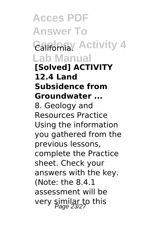**Acces PDF Answer To Galfornia** Activity 4 **Lab Manual [Solved] ACTIVITY 12.4 Land Subsidence from Groundwater ...** 8. Geology and Resources Practice Using the information you gathered from the previous lessons, complete the Practice sheet. Check your answers with the key. (Note: the 8.4.1 assessment will be very similar to this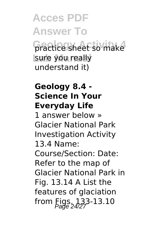#### **Acces PDF Answer To Gractice sheet so make** sure you really understand it)

#### **Geology 8.4 - Science In Your Everyday Life**

1 answer below » Glacier National Park Investigation Activity 13.4 Name: Course/Section: Date: Refer to the map of Glacier National Park in Fig. 13.14 A List the features of glaciation from  $Eigs, 133-13.10$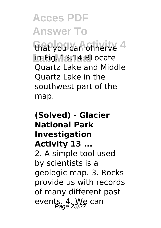that you can ohnerve 4 **Lab Manual** in Fig. 13.14 BLocate Quartz Lake and Middle Quartz Lake in the southwest part of the map.

#### **(Solved) - Glacier National Park Investigation Activity 13 ...** 2. A simple tool used by scientists is a geologic map. 3. Rocks provide us with records of many different past events. 4. We can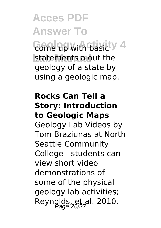**Gome up with basic y 4** statements a out the geology of a state by using a geologic map.

#### **Rocks Can Tell a Story: Introduction to Geologic Maps**

Geology Lab Videos by Tom Braziunas at North Seattle Community College - students can view short video demonstrations of some of the physical geology lab activities; Reynolds, et al. 2010.